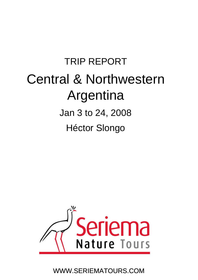# TRIP REPORT Central & Northwestern Argentina Jan 3 to 24, 2008 Héctor Slongo Héctor



WWW.SERIEMATOURS.COM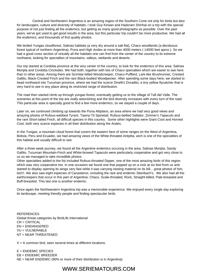Central and Northestern Argentina is an amazing region of the Southern Cone not only for birds but also for landscapes, culture and diversity of habitats. I took Guy Kirwan and Hadoram Shirihai on a trip with the special purpose of not just finding all the endemics, but getting as many good photographs as possible. Over the past years, we've got used to get good results in the area, but this particular trip couldn't be more productive. We had all the endemics, and thousands of first quality photos.

We birded Yungas cloudforest, Salinas habitats (a very dry around a salt flat), Chaco woodlands (a deciduous forest typical of northern Argentina), Puna and High Andes at more than 4000 meters ( 14000 feet aprox.). So we had a good cross section of virtually all the habitats one can find from the center of the country to its extreme northwest, looking for specialties of mountains, valleys, wetlands and deserts.

Our trip started at Cordoba province at the very center of the country, to look for the endemics of this area: Salinas Monjita and Cordoba Cinclodes. We had both, together with lots of Chaco specialties which are easier to see here than in other areas. Among them are Scimitar-billed Woodcreeper, Chaco Puffbird, Lark-like Brushrunner, Crested Gallito, Black-Crested Finch and the rare Black-bodied Woodpecker. After spending some days here, we started to head northward into Tucuman province, where we had the scarce Dinelli's Doradito, a tiny yellow flycatcher that is very hard to see in any place along its restricted range of distribution.

The road then started climb up through yungas forest, eventually getting us to the village of Tafi del Valle. The sceneries at this point of the trip are really astonishing and the bird diversity increases with every turn of the road. This particular area is specially good to find a few more endemics, so we stayed a couple of days.

Later on, we continued climbing up towards the Puna Altiplano, an area where we had very good views and amazing photos of Rufous-webbed Tyrant, Tawny-Tit Spinetail, Rufous-bellied Saltator, Zimmer's Tapaculo and the rare Short-tailed Finch, all difficult species in this country. Some other highlights were Giant Coot and Horned Coot, both very scarce especies in all their distribution along the Andes.

In the Yungas, a mountain cloud forest that covers the eastern face of some ranges on the West of Argentina, Bolivia, Peru and Ecuador, we had amazing views of the White-throated Antpitta, wich is one of the specialties of this habitat and usually difficult to see.

After a three week journey, we found all the Argentine endemics occuring in the area. Salinas Monjita, Sandy Gallito, Tucuman Mountain-Finch and White-browed Tapaculo were particularly cooperative and got very close to us so we managed to take incredible photos.

Other specialties added to the list included Rufous-throated Dipper, one of the most amazing birds of this region which was very cooperative too. In one occasion we found one that popped up on a rock at six feet from us and started to display opening its wings very fast while it was carrying nesting material on its bill... great photos of him, too!!!. We also saw eight especies of Canasteros, including the rare and endemic Steinbach's. We also had all the earthcreepers that occur in this part of Argentina: Chaco, Scale-throated, Rock, Straight-billed, Pale-breasted and Buff-breasted. This last one is another endemic.

Once again the Northwestern Argentina trip was a memorable experience. We enjoyed every single day exploring its landscape, meeting friendly people and finding spectacular birds.

**REFERENCES** Global threat categories by BirdLife International CR = CRITICAL EN = ENDANGERED VU = VULNERABLE NT = NEAR THREATENED

 $X = A$  common bird, seen several times at different locations.

 $E =$  ENDEMIC SPECIES EB = ENDEMIC BREEDER NE = NEAR ENDEMIC (90% or more of their distribution is in Argentina)

## WWW.SERIEMATOURS.COM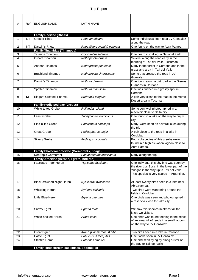| #              | Ref       | <b>ENGLISH NAME</b>                                                        | <b>LATIN NAME</b>                          |                                                                                        |
|----------------|-----------|----------------------------------------------------------------------------|--------------------------------------------|----------------------------------------------------------------------------------------|
|                |           |                                                                            |                                            |                                                                                        |
|                |           | <b>Family Rheidae (Rheas)</b>                                              |                                            |                                                                                        |
| 1              | <b>NT</b> | <b>Greater Rhea</b>                                                        | Rhea americana                             | Some individuals seen near JV Gonzalez<br>along the road                               |
| $\overline{2}$ | <b>NT</b> | Darwin's Rhea                                                              | Rhea (Pterocnemia) pennata                 | One found on the way to Abra Pampa.                                                    |
|                |           | <b>Family Tinamidae (Tinamous)</b>                                         |                                            |                                                                                        |
| 3<br>4         |           | Tataupa Tinamou<br>Ornate Tinamou                                          | Crypturellus tataupa<br>Nothoprocta ornata | One heard in Calilegua National Park<br>Several along the road early in the            |
|                |           |                                                                            |                                            | morning at Tafi del Valle. Tucumán.                                                    |
| 5              |           | Andean Tinamou                                                             | Nothoprocta pentlandii                     | Many in the forest in Cordoba and in the<br>grassland area in Tafi del Valle.          |
| 6              |           | <b>Brushland Tinamou</b>                                                   | Nothoprocta cinerascens                    | Some that crossed the road in JV<br>Gonzalez.                                          |
| 7              |           | Darwin's Tinamou                                                           | Nothura darwinii                           | One found along a dirt road in the Sierras<br>Grandes in Cordoba.                      |
| 8              |           | Spotted Tinamou                                                            | Nothura maculosa                           | One was flushed in a grassy spot in<br>Cordoba                                         |
| 9              | <b>NE</b> | Elegant Crested-Tinamou                                                    | Eudromia elegans                           | A pair very close to the road in the Monte                                             |
|                |           | <b>Family Podicipedidae (Grebes)</b>                                       |                                            | Desert area in Tucuman.                                                                |
| 10             |           | <b>White-tufted Grebe</b>                                                  | Rollandia rolland                          | Some very well photographed in a                                                       |
|                |           |                                                                            |                                            | reservoir close to Salta city.                                                         |
| 11             |           | Least Grebe                                                                | Tachybaptus dominicus                      | One found in a lake on the way to Jujuy<br>city.                                       |
| 12             |           | Pied-billed Grebe                                                          | Podilymbus podiceps                        | Many were seen on several lakes during<br>the trip                                     |
| 13             |           | <b>Great Grebe</b>                                                         | Podicephorus major                         | A pair close to the road in a lake in<br>Cordoba                                       |
| 14             |           | Silvery Grebe                                                              | Podiceps occipitalis                       | Both subspecies of this greebe were<br>found in a high elevation lagoon close to       |
|                |           |                                                                            |                                            | Abra Pampa.                                                                            |
| 15             |           | <b>Family Phalacrocoracidae (Cormorants, Shags)</b><br>Neotropic Cormorant | Phalacrocorax brasilianus                  | Many along the trip.                                                                   |
|                |           | Family Ardeidae (Herons, Egrets, Bitterns)                                 |                                            |                                                                                        |
| 16             |           | <b>Fasciated Tiger-Heron</b>                                               | Tigrisoma fasciatum                        | One individual this shy bird was seen by                                               |
|                |           |                                                                            |                                            | the river Los Sosa, in the lower part of the                                           |
|                |           |                                                                            |                                            | Yungas in the way up to Tafi del Valle.<br>This species is very scarce in Argentina.   |
|                |           |                                                                            |                                            |                                                                                        |
| 17             |           | Black-crowned Night-Heron                                                  | Nycticorax nycticorax                      | At least twenty birds seen in a lake near<br>Abra Pampa.                               |
| 18             |           | <b>Whistling Heron</b>                                                     | Syrigma sibilatrix                         | Two birds were wandering around the<br>fields in Cordoba.                              |
| 19             |           | Little Blue-Heron                                                          | Egretta caerulea                           | One birds was seen and photographed in                                                 |
|                |           |                                                                            |                                            | a reservoir close to Salta city                                                        |
| 20             |           | Snowy Egret                                                                | Egretta thula                              | We saw this species in almost all the                                                  |
|                |           |                                                                            |                                            | lakes we visited.                                                                      |
| 21             |           | White-necked Heron                                                         | Ardea cocoi                                | One birds was found feeding in the midst<br>of an area full of reeds in a small lagoon |
|                |           |                                                                            |                                            | on the way to JV Gonzalez.                                                             |
| 22             |           | <b>Great Egret</b>                                                         | Ardea (Casmerodius) alba                   | Two birds seen in a lake in Cordoba.                                                   |
| 23             |           | Cattle Egret                                                               | <b>Bubulcus (Ardea) ibis</b>               | One flocks seen in JV Gonzalez                                                         |
| 24             |           | <b>Striated Heron</b>                                                      | <b>Butorides striatus</b>                  | One bird seen flying by along a river on<br>the way to Tafi del Valle                  |
|                |           | Family Threskiornithidae (Ibises, Spoonbills)                              |                                            |                                                                                        |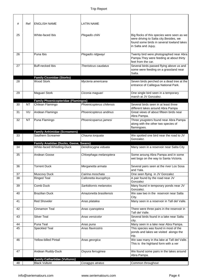| #  | Ref       | <b>ENGLISH NAME</b>                                          | <b>LATIN NAME</b>        |                                                                                       |
|----|-----------|--------------------------------------------------------------|--------------------------|---------------------------------------------------------------------------------------|
|    |           |                                                              |                          |                                                                                       |
| 25 |           | White-faced Ibis                                             | Plegadis chihi           | Big flocks of this species were seen as we<br>were driving to Salta city. Besides, we |
|    |           |                                                              |                          | found some birds in several lowland lakes                                             |
|    |           |                                                              |                          | in Salta and Jujuy.                                                                   |
| 26 |           | Puna Ibis                                                    | Plegadis ridgwayi        | Twenty bird were photographed near Abra                                               |
|    |           |                                                              |                          | Pampa. They were feeding at about thirty<br>feet from the car.                        |
| 27 |           | <b>Buff-necked Ibis</b>                                      | Theristicus caudatus     | Several birds passed flying above us and                                              |
|    |           |                                                              |                          | some were feeding on a grassland near<br>Salta.                                       |
|    |           | <b>Family Ciconidae (Storks)</b>                             |                          |                                                                                       |
| 28 |           | <b>Wood Stork</b>                                            | Mycteria americana       | Seven birds perched on a dead tree at the<br>entrance of Calilegua National Park.     |
|    |           |                                                              |                          |                                                                                       |
| 29 |           | Maguari Stork                                                | Ciconia maguari          | One single bird seen in a temporary<br>marsh at JV Gonzalez.                          |
|    |           | <b>Family Phoenicopteridae (Flamingos)</b>                   |                          |                                                                                       |
| 30 | <b>NT</b> | Chilean Flamingo                                             | Phoenicopterus chilensis | Several birds seen in at least three<br>different lakes around Abra Pampa             |
| 31 | VU        | Andean Flamingo                                              | Phoenicopterus andinus   | Great views of about fifteen birds near                                               |
|    |           |                                                              |                          | Abra Pampa.                                                                           |
| 32 | <b>NT</b> | Puna Flamingo                                                | Phoenicoparrus jamesi    | Three yougsters found near Abra Pampa<br>along with the other two species of          |
|    |           |                                                              |                          | flamingoes.                                                                           |
| 33 |           | <b>Family Anhimidae (Screamers)</b><br>Southern Screamer     | Chauna torquata          | We spotted one bird near the road to JV                                               |
|    |           |                                                              |                          | Gonzalez.                                                                             |
|    |           |                                                              |                          |                                                                                       |
|    |           | Family Anatidae (Ducks, Geese, Swans)                        |                          |                                                                                       |
| 34 |           | White-faced Whistling-Duck                                   | Dendrocygna viduata      | Many seen in a reservoir near Salta City                                              |
| 35 |           | Andean Goose                                                 | Chloephaga melanoptera   | Some aroung Abra Pampa and in some                                                    |
|    |           |                                                              |                          | wet bogs on the way to Santa Victoria.                                                |
| 36 |           | <b>Torrent Duck</b>                                          | Merganetta armata        | Several pairs seen at the river Los Sosa                                              |
|    |           |                                                              |                          | and Yala.                                                                             |
| 37 |           | Muscovy Duck                                                 | Cairina moschata         | One seen flying in JV Gonzalez                                                        |
| 38 |           | <b>Ringed Teal</b>                                           | Callonetta leucophrys    | A pair found by the road near JV<br>Gonzalez                                          |
| 39 |           | Comb Duck                                                    | Sarkidiornis melanotos   | Many found in temporary ponds near JV                                                 |
| 40 |           | <b>Brazilian Duck</b>                                        | Amazonetta brasiliensis  | Gonzalez.<br>We saw two in the reservoir near Salta                                   |
|    |           |                                                              |                          | City.                                                                                 |
| 41 |           | <b>Red Shoveler</b>                                          | Anas platalea            | Many seen in a reservoir in Tafi del Valle.                                           |
| 42 |           | Cinnamon Teal                                                | Anas cyanoptera          | There were three pairs in the reservoir in                                            |
| 43 |           | <b>Silver Teal</b>                                           | Anas versicolor          | Tafi del Valle.<br>Several birds found in a lake near Salta                           |
|    |           |                                                              |                          | city.                                                                                 |
| 44 |           | Puna Teal                                                    | Anas puna                | Many seen in a lake near Abra Pampa.                                                  |
| 45 |           | <b>Speckled Teal</b>                                         | Anas flavirostris        | This species was found in most of the<br>ponds and lakes we visited alongo the        |
|    |           |                                                              |                          | trip.                                                                                 |
| 46 |           | <b>Yellow-billed Pintail</b>                                 | Anas georgica            | We saw many in tha lake at Tafi del Valle.<br>This is the highland form with a ver    |
|    |           |                                                              |                          |                                                                                       |
| 47 |           | Andean Ruddy-Duck                                            | Oxyura ferruginea        | We found some pairs in the lakes around<br>Abra Pampa.                                |
| 48 |           | <b>Family Cathartidae (Vultures)</b><br><b>Black Vulture</b> | Coragyps atratus         | Common throughout                                                                     |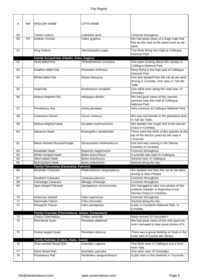| #        | Ref       | <b>ENGLISH NAME</b>                             | <b>LATIN NAME</b>                       |                                                                                                                   |
|----------|-----------|-------------------------------------------------|-----------------------------------------|-------------------------------------------------------------------------------------------------------------------|
|          |           |                                                 |                                         |                                                                                                                   |
| 49<br>50 | <b>NT</b> | <b>Turkey Vulture</b><br>Andean Condor          | Cathartes aura<br>Vultur gryphus        | Common throughout<br>We had great views of a huge male that<br>flew by the road at the same level as we<br>were.  |
| 51       |           | King Vulture                                    | Sarcoramphus papa                       | Two birds flying very high at Calilegua<br><b>National Park</b>                                                   |
|          |           | Family Accipitridae (Hawks, Kites, Eagles)      |                                         |                                                                                                                   |
| 52       |           | Hook-billed Kite                                | Chondrohierax uncinatus                 | One seen soaring above the canopy in<br>Calilegua National Park                                                   |
| 53       |           | Swallow-tailed Kite                             | Elanoides forficatus                    | Many flying in the high part of Calilegua<br><b>National Park</b>                                                 |
| 54       |           | <b>White-tailed Kite</b>                        | Elanus leucurus                         | One bird spotted from the car as we were<br>driving in Cordoba. One seen in Tafi del<br>Valle                     |
| 55       |           | <b>Snail Kite</b>                               | Rosthramus sociabilis                   | One adult seen along the road near JV<br>Gonzalez.                                                                |
| 56       |           | Rufous-thighed Kite                             | Harpagus diodon                         | We had good views of this species<br>perched near the road at Calilegua<br><b>National Park</b>                   |
| 57       |           | Plumbeous Kite                                  | Ictinia plumbea                         | Very common at Calilegua National Park                                                                            |
| 58       |           | <b>Cinereous Harrier</b>                        | Circus cinereus                         | We saw one female in the grassland area<br>in Tafi del Valle.                                                     |
| 59       |           | Rufous-thighed Hawk                             | Accipiter erythronemius                 | We spotted one single bird in the sierran<br>chaco in Cordoba.                                                    |
| 60       |           | Savanna Hawk                                    | <b>Buteogallus meridionalis</b>         | There were two birds of this species at the<br>top of the electric poles by the road in<br>Tucumán                |
| 61       |           | Black-chested Buzzard-Eagle                     | Geranoaetus melanoleucus                | One bird was soaring in the Sierras<br>Grandes in Cordoba.                                                        |
| 62       |           | Roadside Hawk                                   | Rupornis magnirostris                   | Common throughout                                                                                                 |
| 63       |           | White-rumped Hawk                               | <b>Buteo leucorrhous</b>                | A juvenile was seen in Calilegua.                                                                                 |
| 64       |           | Short-tailed Hawk                               | <b>Buteo brachyurus</b>                 | Several seen in Calilegua.                                                                                        |
| 65       |           | Red-backed Hawk                                 | Buteo polyosoma                         | Several along the trip.                                                                                           |
|          |           | <b>Family Falconidae (Caracaras, Falcons)</b>   |                                         |                                                                                                                   |
| 66       |           | Mountain Caracara                               | Phalcoboenus megalopterus               | We spotted one from the car as we were<br>driving to Abra Pampa.                                                  |
| 67       |           | Southern Caracara                               | Caracara plancus                        | Common throughout                                                                                                 |
| 68       |           | Chimango Caracara                               | Milvago chimango                        | Common throughout                                                                                                 |
| 69       |           | Spot-winged Falconet                            | Spiziapteryx circumcinctus              | We managed to take nice photos of this<br>endemic breeder of Argentina in the<br>Sierran Chaco in Cordoba.        |
| 70       |           | American Kestrel                                | Falco sparverius                        | Common throughout                                                                                                 |
| 71       |           | Aplomado Falcon                                 | Falco femoralis                         | Several along the trip.                                                                                           |
| 72       |           | Peregrine Falcon                                | Falco peregrinus                        | A pair in Condorito National Park, in<br>Cordoba.                                                                 |
|          |           | Family Cracidae (Chachalacas, Guans, Curassows) |                                         |                                                                                                                   |
| 73<br>74 |           | Chaco Chachalaca<br>Red-faced Guan              | Ortalis canicollis<br>Penelope dabbenei | Many around JV Gonzalez!!<br>We had great views of this rare guan, we<br>even managed to take great photos of it. |
| 75       |           | Dusky-legged Guan                               | Penelope obscura                        | There was a group feeding on fruits in the<br>lower part of Cuesta del Obispo.                                    |
|          |           | Family Rallidae (Crakes, Rails, Coots)          |                                         |                                                                                                                   |
| 76       |           | Grey-necked Wood-Rail                           | Aramides cajanea                        | Two birds seen in Calilegua and a third<br>near Yala.                                                             |
| 77       |           | Giant Wood-Rail                                 | Aramides ypecaha                        | One seen near JV Gonzalez                                                                                         |
| 78       |           | Plumbeous Rail                                  | Pardirallus sanguinolentus              | A pair seen in the lowlands in Tucumán.                                                                           |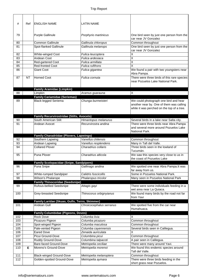| #   | Ref       | <b>ENGLISH NAME</b>                                                | <b>LATIN NAME</b>        |                                                                                                                                 |
|-----|-----------|--------------------------------------------------------------------|--------------------------|---------------------------------------------------------------------------------------------------------------------------------|
| 79  |           | <b>Purple Gallinule</b>                                            | Porphyrio martinicus     | One bird seen by just one person from the<br>car near JV Gonzalez                                                               |
| 80  |           | <b>Common Gallinule</b>                                            | Gallinula chloropus      | Common throughout                                                                                                               |
| 81  |           | Spot-flanked Gallinule                                             | Gallinula melanops       | One bird seen by just one person from the                                                                                       |
|     |           |                                                                    |                          | car near JV Gonzalez                                                                                                            |
| 82  |           | White-winged Coot                                                  | Fulica leucoptera        | $\overline{\mathsf{x}}$                                                                                                         |
| 83  |           | Andean Coot                                                        | Fulica ardesiaca         | $\overline{\mathsf{x}}$                                                                                                         |
| 84  |           | Red-gartered Coot                                                  | Fulica armillata         | $\overline{\mathsf{x}}$                                                                                                         |
| 85  |           | <b>Red-fronted Coot</b>                                            | Fulica rufifrons         | X                                                                                                                               |
| 86  |           | <b>Giant Coot</b>                                                  | Fulica gigantea          | We found a pair with two youngsters near<br>Abra Pampa.                                                                         |
| 87  | <b>NT</b> | <b>Horned Coot</b>                                                 | Fulica cornuta           | There were three birds of this rare species<br>near Pozuelos Lake National Park.                                                |
|     |           | <b>Family Aramidae (Limpkin)</b>                                   |                          |                                                                                                                                 |
| 88  |           | Limpkin                                                            | Aramus guarauna          | X                                                                                                                               |
|     |           | <b>Family Cariamidae (Seriemas)</b>                                |                          |                                                                                                                                 |
| 89  |           | <b>Black-legged Seriema</b>                                        | Chunga burmeisteri       | We could photograph one bird and hear<br>another near by. One of them was calling<br>while it was perched on the top of a tree. |
|     |           | <b>Family Recurvirostridae (Stilts, Avocets)</b>                   |                          |                                                                                                                                 |
| 90  |           | South American Stilt                                               | Himantopus melanurus     | Several birds in a lake near Salta city.                                                                                        |
| 91  |           | Andean Avocet                                                      | Recurvirostra andina     | There were three birds near Abra Pampa<br>and several more around Pozuelos Lake<br>National Park.                               |
|     |           | <b>Family Charadriidae (Plovers, Lapwings)</b>                     |                          |                                                                                                                                 |
| 92  |           | Southern Lapwing                                                   | Vanellus chilensis       | Common throughout                                                                                                               |
| 93  |           | Andean Lapwing                                                     | Vanellus resplendens     | Many in Tafi del Valle.                                                                                                         |
| 94  |           | <b>Collared Plover</b>                                             | Charadrius collaris      | Three birds seen in the lowland of<br>Tucumán.                                                                                  |
| 95  |           | Puna Plover                                                        | Charadrius alticola      | We saw this species very close to us in<br>the coast of Pozuelos Lake                                                           |
|     |           | <b>Family Scolopacidae (Snipe, Sandpipers)</b>                     |                          |                                                                                                                                 |
| 96  |           | Puna Snipe                                                         | Gallinago andina         | We spotted one near Abra Pampa. It was<br>far away from us.                                                                     |
| 97  |           | White-rumped Sandpiper                                             | Calidris fuscicollis     | Some in Pozuelos National Park.                                                                                                 |
| 98  |           | Wilson's Phalarope                                                 | Phalaropus tricolor      | Many seen in Pozuelos National Park                                                                                             |
| 99  |           | <b>Family Thinocoridae (Seedsnipe)</b><br>Rufous-bellied Seedsnipe | Attagis gayi             | There were some individuals feeding in a                                                                                        |
| 100 |           | Grey-breasted Seedsnipe                                            | Thinocorus orbignyianus  | wet area near La Quiaca.<br>We found many birds by the road not far                                                             |
|     |           |                                                                    |                          | from Yavi                                                                                                                       |
| 101 |           | Family Laridae (Skuas, Gulls, Terns, Skimmer)<br>Andean Gull       | Chroicocephalus serranus | We spotted five from the car near                                                                                               |
|     |           |                                                                    |                          | Humahuaca.                                                                                                                      |
| 102 |           | <b>Family Columbidae (Pigeons, Doves)</b><br><b>Rock Dove</b>      | Columba livia            | X                                                                                                                               |
| 103 |           | Picazuro Pigeon                                                    | Columba picazuro         | Common throughout                                                                                                               |
| 104 |           | Spot-winged Pigeon                                                 | Columba maculosa         | Common throughout                                                                                                               |
| 105 |           | Pale-vented Pigeon                                                 | Columba cayennensis      | Several birds seen in Calilegua.                                                                                                |
| 106 |           | <b>Eared Dove</b>                                                  | Zenaida auriculata       | Χ                                                                                                                               |
| 107 |           | Picui Ground-Dove                                                  | Columbina picui          | Common throughout                                                                                                               |
| 108 |           | Ruddy Ground-Dove                                                  | Columbina talpacoti      | A pair seen in Calilegua.                                                                                                       |
| 109 |           | Bare-faced Ground-Dove                                             | Metriopelia ceciliae     | There were many around Yavi.                                                                                                    |
| 110 | Е         | Moreno's Ground-Dove                                               | Metriopelia morenoi      | We found this endemic species around<br>Tafi del Valle.                                                                         |
| 111 |           | <b>Black-winged Ground-Dove</b>                                    | Metriopelia melanoptera  | Common throughout                                                                                                               |
| 112 |           | Golden-spotted Ground-Dove                                         | Metriopelia aymara       | There were three birds feeding in the<br>short grass near Pozuelos.                                                             |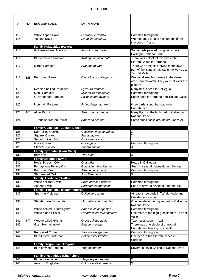| #          | Ref       | <b>ENGLISH NAME</b>                                              | <b>LATIN NAME</b>                   |                                                                    |
|------------|-----------|------------------------------------------------------------------|-------------------------------------|--------------------------------------------------------------------|
|            |           |                                                                  |                                     |                                                                    |
| 113        |           | White-tipped Dove                                                | Leptotila verreauxi                 | Common throughout                                                  |
| 114        |           | Yungas Dove                                                      | Leptotila megalura                  | We managed to take nice photos of this                             |
|            |           |                                                                  |                                     | shy dove in Yala.                                                  |
|            |           | <b>Family Psittacidae (Parrots)</b><br>Golden-collared Macaw     | Primolius auricollis                |                                                                    |
| 115        |           |                                                                  |                                     | Some birds passed flying fairly low in<br>Calilegua National Park. |
| 116        |           | <b>Blue-crowned Parakeet</b>                                     | Aratinga acuticaudata               | There was a flock of this bird in the<br>Sierran Chaco in Cordoba. |
| 117        |           | <b>Mitred Parakeet</b>                                           | Aratinga mitrata                    | There was a big flock flying in the lower                          |
|            |           |                                                                  |                                     | part of the Yungas habitat in the way up to<br>Tafi del Valle      |
| 118        | <b>NE</b> | <b>Burrowing Parrot</b>                                          | Cyanoliseus patagonus               | We could see this parrots in the desert                            |
|            |           |                                                                  |                                     | area near Cayafate. They were all over the                         |
|            |           |                                                                  |                                     | place!!!                                                           |
| 119        |           | <b>Reddish-bellied Parakeet</b>                                  | Pyrrhura frontalis                  | Many flocks seen in Calilegua.                                     |
| 120        |           | Monk Parakeet                                                    | Myiopsitta monachus                 | Common throughout                                                  |
| 121        |           | Grey-hooded Parakeet                                             | Psilopsiagon aymara                 | Some seen in Cordoba and Tafi del Valle.                           |
|            |           |                                                                  |                                     |                                                                    |
| 122        |           | Mountain Parakeet                                                | Psilopsiagon aurifrons              | three birds along the road near<br>Humahuaca.                      |
| 123        | <b>NT</b> | <b>Alder Parrot</b>                                              | Amazona tucumana                    | Many flying in the high part of Calilegua                          |
| 124        |           |                                                                  | Amazona aestiva                     | <b>National Park</b><br>Some small flocks around JV Gonzalez       |
|            |           | <b>Turquoise-fronted Parrot</b>                                  |                                     |                                                                    |
|            |           | <b>Family Cuculidae (Cuckoos, Anis)</b>                          |                                     |                                                                    |
| 125        |           | Dark-billed Cuckoo                                               | Coccyzus melacoryphus               | X                                                                  |
| 126        |           | Squirrel Cuckoo                                                  | Piaya cayana                        | $\overline{\mathsf{x}}$                                            |
| 127        |           | Smooth-billed Ani                                                | Crotophaga ani                      | X                                                                  |
| 128        |           | Guira Cuckoo                                                     | Guira guira                         | Common throughout                                                  |
| 129        |           | <b>Striped Cuckoo</b>                                            | Tapera naevia                       | Χ                                                                  |
|            |           | <b>Family Tytonidae (Barn Owls)</b>                              |                                     |                                                                    |
| 130        |           | <b>Barn Owl</b>                                                  | Tyto alba                           | X                                                                  |
|            |           | <b>Family Strigidae (Owls)</b>                                   |                                     |                                                                    |
| 131        |           | Hoy's Screech-Owl                                                | Otus höyi                           | Heard in Calilegua                                                 |
| 132        |           | Ferruginous Pygmy-Owl                                            | Glaucidium brasilianum              | Seen in several places during the trip                             |
| 133<br>134 |           | <b>Burrowing Owl</b><br>Short-eared Owl                          | Athene cunicularia<br>Asio flammeus | Common throughout<br>Χ                                             |
|            |           | <b>Family Apodidae (Swifts)</b>                                  |                                     |                                                                    |
| 135        |           | <b>White-collared Swift</b>                                      | Streptoprocne zonaris               | Common throughout                                                  |
| 136        |           | Andean Swift                                                     | Aeronautes andecolus                | Seen in several places during the trip                             |
|            |           | <b>Family Trochilidae (Hummingbirds)</b>                         |                                     |                                                                    |
| 137        |           | Sparking Violetear                                               | Colibri coruscans                   | At least three birds in Tafi del Valle and<br>Cuesta del Obispo    |
| 138        |           | Slender-tailed Woodstar                                          | Microstilbon burmeisteri            | One female in the higher part of Calilegua                         |
|            |           |                                                                  |                                     | <b>National Park</b>                                               |
| 139        |           | White-bellied Hummingbird                                        | Amazilia chionogaster               | Common throughout                                                  |
| 140        |           | White-sided Hillstar                                             | Oreotrochilus leucopleurus          | One male in the high grassland of Tafi del<br>Valle                |
| 141        | <b>NT</b> | Wedge-tailed Hillstar                                            | Oreotrochilus adela                 | Two males seen in Yavi                                             |
| 142        |           | Giant Hummingbird                                                | Patagona gigas                      | There was one single bird around                                   |
|            |           |                                                                  |                                     | Humahuaca feeding on insects.                                      |
| 143        |           | Red-tailed Comet                                                 | Sappho sparganura                   | Common throughout                                                  |
| 144        |           | <b>Blue-tufted Starthroat</b>                                    | Heliomaster furcifer                | One seen in the Sierran Chaco in                                   |
|            |           |                                                                  |                                     | Cordoba                                                            |
| 145        |           | <b>Family Trogonidae (Trogons)</b><br><b>Blue-crowned Trogon</b> | Trogon curucui                      | Several birds in Calilegua National Park                           |
|            |           |                                                                  |                                     |                                                                    |
|            |           | <b>Family Alcedinidae (Kingfishers)</b>                          |                                     |                                                                    |
| 146        |           | Ringed Kingfisher                                                | Megaceryle torquata                 | X                                                                  |
| 147        |           | Amazon Kingfisher                                                | Chloroceryle amazona                | $\overline{\mathsf{x}}$                                            |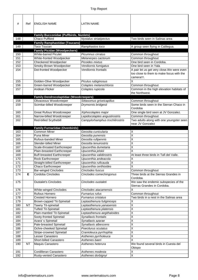| #<br>148   | Ref       | <b>ENGLISH NAME</b><br><b>Family Bucconidae (Puffbirds, Nunlets)</b><br>Chaco Puffbird<br><b>Family Ramphastidae (Toucans)</b> | <b>LATIN NAME</b><br>Nystalus striatipectus    | Two birds seen in Salinas area                                                                       |
|------------|-----------|--------------------------------------------------------------------------------------------------------------------------------|------------------------------------------------|------------------------------------------------------------------------------------------------------|
| 149        |           | <b>Toco Toucan</b>                                                                                                             | Ramphastos toco                                | A group seen flying in Calilegua.                                                                    |
|            |           | <b>Family Picidae (Woodpeckers)</b>                                                                                            |                                                |                                                                                                      |
| 150        |           | <b>White-barred Piculet</b>                                                                                                    | Picumnus cirratus                              | Common throughout                                                                                    |
| 151        |           | White-fronted Woodpecker                                                                                                       | Melanerpes cactorum                            | Common throughout                                                                                    |
| 152        |           | Checkered Woodpecker                                                                                                           | Picoides mixtus                                | One bird seen in Cordoba.                                                                            |
| 153<br>154 |           | Smoky-Brown Woodpecker<br>Dot-fronted Woodpecker                                                                               | Veniliornis fumigatus<br>Veniliornis frontalis | One bird seen in Yala                                                                                |
|            |           |                                                                                                                                |                                                | A pair let us get very close. We were even<br>too close to them to make focus with the<br>camera!!!. |
| 155        |           | Golden-Olive Woodpecker                                                                                                        | Piculus rubiginosus                            | X                                                                                                    |
| 156        |           | Green-barred Woodpecker                                                                                                        | Colaptes melanochloros                         | Common throughout                                                                                    |
| 157        |           | Andean Flicker                                                                                                                 | Colaptes rupicola                              | Common in the high elevation habitats of<br>the Northwest.                                           |
|            |           | <b>Family Dendrocolaptidae (Woodcreepers)</b>                                                                                  |                                                |                                                                                                      |
| 158        |           | Olivaceous Woodcreeper                                                                                                         | Sittasomus griseicapillus                      | Common throughout                                                                                    |
| 159        |           | Scimitar-billed Woodcreeper                                                                                                    | Drymornis bridgesii                            | Some birds seen in the Sierran Chaco in<br>Cordoba                                                   |
| 160        |           | <b>Great Rufous Woodcreeper</b>                                                                                                | Xiphocolaptes major                            | One single bird seen at JV Gonzalez.                                                                 |
| 161        |           | Narrow-billed Woodcreeper                                                                                                      | Lepidocolaptes angustirostris                  | Common throughout                                                                                    |
| 162        |           | Red-billed Scythebill                                                                                                          | Campylorhamphus trochilirostris                | Two adults along with one youngster seen<br>near JV Gonzalez                                         |
|            |           | <b>Family Furnariidae (Ovenbirds)</b>                                                                                          |                                                |                                                                                                      |
| 163        |           | <b>Common Miner</b>                                                                                                            | Geositta cunicularia                           | Χ                                                                                                    |
| 164        |           | Puna Miner                                                                                                                     | Geositta punensis                              | X                                                                                                    |
| 165<br>166 |           | Rufous-banded Miner<br>Slender-billed Miner                                                                                    | Geositta rufipennis<br>Geositta tenuirostris   | X<br>X                                                                                               |
| 167        |           | Scale-throated Earthcreeper                                                                                                    | Upucerthia dumetaria                           | X                                                                                                    |
| 168        |           | Plain-breasted Earthcreeper                                                                                                    | Upucerthia jelskii                             | X                                                                                                    |
| 169        |           | <b>Buff-breasted Earthcreeper</b>                                                                                              | Upucerthia validirostris                       | At least three birds in Tafi del Valle.                                                              |
| 170        |           | Rock Earthcreeper                                                                                                              | Upucerthia andeacola                           | Χ                                                                                                    |
| 171        |           | Straight-billed Earthcreeper                                                                                                   | Upucerthia ruficauda                           | $\overline{\mathsf{X}}$                                                                              |
| 172        |           | Chaco Earthcreeper                                                                                                             | Upucerthia certhioides                         | $\overline{\mathsf{x}}$                                                                              |
| 173        |           | <b>Bar-winged Cinclodes</b>                                                                                                    | Cinclodes fuscus                               | Common throughout                                                                                    |
| 174        | Е         | Cordoba Cinclodes                                                                                                              | Cinclodes comechingonus                        | Three birds at the Sierras Grandes in<br>Cordoba.                                                    |
| 175        |           | <b>Oustalet's Cinclodes</b>                                                                                                    | Cinclodes oustaleti                            | We saw the endemic subspecies of the<br>Sierras Grandes in Cordoba.                                  |
| 176        |           | <b>White-winged Cinclodes</b>                                                                                                  | Cinclodes atacamensis                          | Χ                                                                                                    |
| 177        |           | Rufous Hornero                                                                                                                 | Furnarius rufus                                | Common throughout                                                                                    |
| 178        |           | <b>Crested Hornero</b>                                                                                                         | Furnarius cristatus                            | Two birds in a nest in the Salinas area                                                              |
| 179        |           | Brown-capped Tit-Spinetail                                                                                                     | Leptasthenura fuliginiceps                     | Χ                                                                                                    |
| 180        | <b>NT</b> | Tawny Tit-spinetail                                                                                                            | Leptasthenura yanasensis                       | Χ                                                                                                    |
| 181        |           | <b>Tufted Tit-Spinetail</b>                                                                                                    | Leptasthenura platensis                        | X                                                                                                    |
| 182        |           | Plain-mantled Tit-Spinetail                                                                                                    | Leptasthenura aegithaloides                    | X                                                                                                    |
| 183        |           | Sooty-fronted Spinetail                                                                                                        | Synallaxis frontalis                           | X                                                                                                    |
| 184        |           | Azara's Spinetail                                                                                                              | Synallaxis azarae                              | X                                                                                                    |
| 185        |           | Pale-breasted Spinetail                                                                                                        | Synallaxis albescens                           | X                                                                                                    |
| 186        |           | Ochre-cheeked Spinetail                                                                                                        | Poecilurus scutatus                            | Χ                                                                                                    |
| 187        |           | Stripe-crowned Spinetail                                                                                                       | Cranioleuca pyrrhophia                         | X                                                                                                    |
| 188        |           | Lesser Canastero                                                                                                               | Asthenes pyrrholeuca                           | X                                                                                                    |
| 189        |           | Short-billed Canastero                                                                                                         | Asthenes baeri                                 | X                                                                                                    |
| 190        | <b>NT</b> | Maquis Canastero                                                                                                               | Asthenes heterura                              | We found several birds in Cuesta del<br>Obispo                                                       |
| 191        |           | Cordilleran Canastero                                                                                                          | Asthenes modesta                               | Χ                                                                                                    |
| 192        |           | Rusty-vented Canastero                                                                                                         | Asthenes dorbignyi                             | Χ                                                                                                    |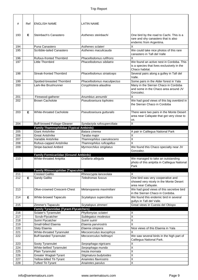| #          | Ref | <b>ENGLISH NAME</b>                                                | <b>LATIN NAME</b>                                   |                                                                                 |
|------------|-----|--------------------------------------------------------------------|-----------------------------------------------------|---------------------------------------------------------------------------------|
|            |     |                                                                    |                                                     |                                                                                 |
|            |     |                                                                    |                                                     |                                                                                 |
| 193        | Е   | Steinbach's Canastero                                              | Asthenes steinbachi                                 | One bird by the road to Cachi. This is a<br>rare and shy canastero that is also |
|            |     |                                                                    |                                                     | endemic from Argentina.                                                         |
| 194        |     | Puna Canastero                                                     | Asthenes sclateri                                   | X                                                                               |
| 195        |     | Scribble-tailed Canastero                                          | Asthenes maculicauda                                | We could take nice photos of this rare                                          |
|            |     |                                                                    |                                                     | canastero in Tafi del Valle                                                     |
| 196<br>197 |     | <b>Rufous-fronted Thornbird</b><br>Little Thornbird                | Phacellodomus rufifrons<br>Phacellodomus sibilatrix | Χ<br>We found an active nest in Cordoba. This                                   |
|            |     |                                                                    |                                                     | is a species that lives exclusively in the                                      |
|            |     |                                                                    |                                                     | Chaco habitat.                                                                  |
| 198        |     | <b>Streak-fronted Thornbird</b>                                    | Phacellodomus striaticeps                           | Several pairs along a gulley in Tafi del                                        |
|            |     |                                                                    |                                                     | Valle.                                                                          |
| 199        |     | Spotted-breasted Thornbird                                         | Phacellodomus maculipectus                          | Some pairs in the Alder forest in Yala                                          |
| 200        |     | Lark-like Brushrunner                                              | Coryphistera alaudina                               | Many in the Sierran Chaco in Cordoba<br>and some in the Chaco area around JV    |
|            |     |                                                                    |                                                     | Gonzalez.                                                                       |
| 201        |     | Firewood-gatherer                                                  | Anumbius annumbi                                    | Χ                                                                               |
| 202        |     | <b>Brown Cacholote</b>                                             | Pseudoseisura lophotes                              | We had good views of this big ovenbird in                                       |
|            |     |                                                                    |                                                     | the Sierran Chaco in Cordoba                                                    |
|            |     |                                                                    |                                                     |                                                                                 |
| 203        | Е   | <b>White-throated Cacholote</b>                                    | Pseudoseisura gutturalis                            | There were two pairs in the Monte Desert                                        |
|            |     |                                                                    |                                                     | area near Cafayate that got very close to<br>us.                                |
| 204        |     | <b>Buff-browed Foliage-Gleaner</b>                                 | Syndactyla rufosuperciliata                         | X                                                                               |
|            |     | <b>Family Thamnophilidae (Typical Antbirds)</b>                    |                                                     |                                                                                 |
| 205        |     | <b>Giant Antshrike</b>                                             | Batara cinerea                                      | A pair in Calilegua National Park                                               |
| 206        |     | <b>Great Antshrike</b>                                             | Taraba major                                        | Χ                                                                               |
| 207        |     | Variable Antshrike                                                 | Thamnophilus caerulescens                           | $\overline{\mathsf{x}}$                                                         |
| 208        |     | Rufous-capped Antshrike                                            | Thamnophilus ruficapillus                           | X                                                                               |
| 209        |     | Stripe-backed Antbird                                              | Myrmorchilus strigilatus                            | We found this Chaco specialty near JV<br>Gonzalez.                              |
|            |     | <b>Family Formicariidae (Ground Antbirds)</b>                      |                                                     |                                                                                 |
| 210        |     | White-throated Antpitta                                            | Grallaria albigula                                  | We managed to take an outstanding                                               |
|            |     |                                                                    |                                                     | photo of this antpitta in Calilegua National                                    |
|            |     |                                                                    |                                                     | Park                                                                            |
| 211        |     | <b>Family Rhinocryptidae (Tapaculos)</b><br><b>Crested Gallito</b> | Rhinocrypta lanceolata                              | X                                                                               |
| 212        | Е   | Sandy Gallito                                                      | Teledromas fuscus                                   | One bird was very cooperative and                                               |
|            |     |                                                                    |                                                     | showed very nicely in the Monte Desert                                          |
|            |     |                                                                    |                                                     | area near Cafayate.                                                             |
| 213        |     | Olive-crowned Crescent-Chest                                       | Melanopareia maximiliani                            | We had good views of this secretive bird                                        |
|            |     |                                                                    |                                                     | in the Sierran Chaco in Cordoba.                                                |
| 214        | Е   | White-browed Tapaculo                                              | Scytalopus superciliaris                            | We found this endemic bird in several                                           |
| 215        |     | Zimmer's Tapaculo                                                  | Scytalopus zimmeri                                  | gullys in Tafi del Valle.<br>Great views in Cuesta del Obispo                   |
|            |     | <b>Family Tyrannidae (Tyrant-Flycatchers)</b>                      |                                                     |                                                                                 |
| 216        |     | Sclater's Tyrannulet                                               | Phyllomyias sclateri                                | X                                                                               |
| 217        |     | Scrub-Flycatcher                                                   | Sublegatus modestus                                 | $\overline{\mathsf{x}}$                                                         |
| 218        |     | Suiriri Flycatcher                                                 | Suiriri suiriri                                     | X                                                                               |
| 219        |     | Small-billed Elaenia                                               | Elaenia parvirostris                                | X                                                                               |
| 220        |     | Slaty Elaenia                                                      | Elaenia strepera                                    | Nice views of this Elaenia in Yala                                              |
| 221        |     | White-throated Tyrannulet<br><b>Buff-banded Tyrannulet</b>         | Mecocerculus leucophrys                             | X                                                                               |
| 222        |     |                                                                    | Mecocerculus hellmayri                              | We saw several birds in the high part of<br>Calilegua National Park.            |
| 223        |     | Sooty Tyrannulet                                                   | Serpophaga nigricans                                | Χ                                                                               |
| 224        |     | White-bellied Tyrannulet                                           | Serpophaga munda                                    | X                                                                               |
| 225        |     | Plain Tyrannulet                                                   | Inezia inornata                                     | X                                                                               |
| 226        |     | Greater Wagtail-Tyrant                                             | Stigmatura budytoides                               | $\overline{X}$                                                                  |
| 227        |     | Yellow-billed Tit-Tyrant                                           | Anairetes flavirostris<br>Anairetes parulus         | $\overline{X}$<br>$\overline{\mathsf{x}}$                                       |
| 228        |     | <b>Tufted Tit-Tyrant</b>                                           |                                                     |                                                                                 |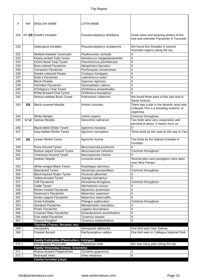| #   | Ref  | <b>ENGLISH NAME</b>                               | <b>LATIN NAME</b>              |                                                                                       |
|-----|------|---------------------------------------------------|--------------------------------|---------------------------------------------------------------------------------------|
|     |      |                                                   |                                |                                                                                       |
| 229 |      | NT-EB Dinelli's Doradito                          | Pseudocolopteryx dinelliana    | Great views and amazing photos of this<br>rare and unknown Flycatcher in Tucuman      |
| 230 |      | Subtropical Doradito                              | Pseudocolopteryx acutipennis   | We found this Doradito in several<br>mountain regions along the trip                  |
| 231 |      | Mottled-cheeked Tyrannulet                        | Phylloscartes ventralis        | Χ                                                                                     |
| 232 |      | Pearly-vented Tody-Tyrant                         | Hemitriccus margaritaceiventer | $\overline{\mathsf{x}}$                                                               |
| 233 |      | Ochre-faced Tody-Tyrant                           | Poecilotriccus plumbeiceps     | X                                                                                     |
| 234 |      | <b>Bran-colored Flycatcher</b>                    | Myiophobus fasciatus           | $\overline{\mathsf{x}}$                                                               |
| 235 |      | Cinnamon Flycatcher                               | Pyrrhomyias cinnamomea         | X                                                                                     |
| 236 |      | Smoke-coloured Pewee                              | Contopus fumigatus             | X                                                                                     |
| 237 |      | Euler's Flycatcher                                | Lathrotriccus euleri           | $\overline{\mathsf{X}}$                                                               |
| 238 |      | <b>Black Phoebe</b>                               | Sayornis nigricans             | $\overline{\mathsf{x}}$                                                               |
| 239 |      | Vermilion Flycatcher                              | Pyrocephalus rubinus           | Χ                                                                                     |
| 240 |      | D'Orbigny's Chat-Tyrant                           | Ochthoeca oenanthoides         | Χ                                                                                     |
| 241 |      | White-browed Chat-Tyrant                          | Ochthoeca leucophrys           | X                                                                                     |
| 242 |      | Rufous-webbed Bush-Tyrant                         | Polioxolmis rufipennis         | We found three pairs of this rare bird in                                             |
|     |      |                                                   |                                | Santa Victoria.                                                                       |
| 243 | EB   | <b>Black-crowned Monjita</b>                      | Xolmis coronata                | There was a pair in the desertic area near<br>Cafayate. This is a breeding endemic of |
|     |      |                                                   |                                | Argentina.                                                                            |
| 244 |      | White Monjita                                     | Xolmis irupero                 | Common throughout                                                                     |
| 245 | NT-E | Salinas Monjita                                   | Neoxolmis salinarum            | Two birds were very cooperative and<br>perched at about 2 meters from us.             |
| 246 |      | <b>Black-billed Shrike-Tyrant</b>                 | Agriornis montana              | $\overline{\mathsf{x}}$                                                               |
| 247 |      | Grey-bellied Shrike-Tyrant                        | Agriornis microptera           | Three birds by the road on the way to Yavi                                            |
| 248 | EB   | Lesser Shrike-Tyrant                              | Agriornis murina               | Two birds by the Salinas Grandes in<br>Cordoba                                        |
| 249 |      | Puna Ground-Tyrant                                | Muscisaxicola juninensis       | X                                                                                     |
| 250 |      | Rufous-naped Ground-Tyrant                        | Muscisaxicola rufivertex       | Common throughout                                                                     |
| 251 |      | <b>Cinereous Ground-Tyrant</b>                    | Muscisaxicola cinerea          | Χ                                                                                     |
| 252 |      | Andean Negrito                                    | Lessonia oreas                 | Several pairs and youngsters were seen<br>near Abra Pampa.                            |
| 253 |      | White-winged Black-Tyrant                         | Knipolegus aterrimus           | Χ                                                                                     |
| 254 |      | <b>Spectacled Tyrant</b>                          | Hymenops perspicillatus        | Common throughout                                                                     |
| 255 |      | Black-backed Water-Tyrant                         | Fluvicola albiventer           | Χ                                                                                     |
| 256 |      | Yellow-browed Tyrant                              | Satrapa icterophrys            | $\overline{\mathsf{X}}$                                                               |
| 257 |      | <b>Cliff Flycatcher</b>                           | Hirundinea ferruginea          | Common throughout                                                                     |
| 258 |      | Cattle Tyrant                                     | Machetornis rixosus            | Χ                                                                                     |
| 259 |      | Brown-crested Flycatcher                          | Myiarchus tyrannulus           | $\overline{\mathsf{X}}$                                                               |
| 260 |      | Swainson's Flycatcher                             | Myiarchus swainsoni            | $\overline{\mathsf{X}}$                                                               |
| 261 |      | Dusky-capped Flycatcher                           | Myiarchus tuberculifer         | Χ                                                                                     |
| 262 |      | Great Kiskadee                                    | Pitangus sulphuratus           | Common throughout                                                                     |
| 263 |      | <b>Streaked Flycatcher</b>                        | Myiodynastes maculatus         | Χ                                                                                     |
| 264 |      | Piratic Flycatcher                                | Legatus leucophaius            | $\overline{\mathsf{x}}$                                                               |
| 265 |      | Crowned Slaty-Flycatcher                          | Griseotyrannus aurantioatroc.  | $\sf X$                                                                               |
| 266 |      | Fork-tailed Flycatcher                            | Tyrannus savana                | X                                                                                     |
| 267 |      | <b>Tropical Kingbird</b>                          | Tyrannus melancholicus         | $\sf X$                                                                               |
|     |      | Tityridae (Tityras, Becards, etc)                 |                                |                                                                                       |
| 268 |      | Xenopsaris                                        | Xenopsaris albinucha           | One bird seen near Salinas.                                                           |
| 269 |      | <b>Crested Becard</b>                             | Pachyramphus validus           | One bird seen in Calilegua National Park                                              |
|     |      | <b>Family Cotingidae (Plantcutters, Cotingas)</b> |                                |                                                                                       |
| 270 |      | White-tipped Plantcutter                          | Phytotoma rutila               | We saw many pairs along the trip                                                      |
|     |      | <b>Family Vireonidae (Vireos, Greenlets)</b>      |                                |                                                                                       |
| 271 |      | Rufous-browed Peppershrike                        | Cyclarhis gujanensis           | X                                                                                     |
| 272 |      | Red-eyed Vireo                                    | Vireo olivaceus                | $\overline{\mathsf{x}}$                                                               |
|     |      | <b>Family Corvidae (Jays)</b>                     |                                |                                                                                       |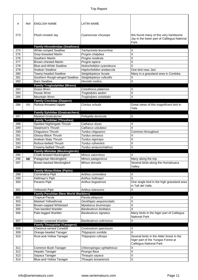| #   | Ref       | <b>ENGLISH NAME</b>                                                    | <b>LATIN NAME</b>              |                                                                                             |
|-----|-----------|------------------------------------------------------------------------|--------------------------------|---------------------------------------------------------------------------------------------|
| 273 |           | Plush-crested Jay                                                      | Cyanocorax chrysops            | We found many of this very handsome<br>Jay in the lower part of Calilegua National<br>Park. |
|     |           | <b>Family Hirundinidae (Swallows)</b>                                  |                                |                                                                                             |
| 274 |           | <b>White-rumped Swallow</b>                                            | Tachycineta leucorrhoa         | X                                                                                           |
| 275 |           | Grey-breasted Martin                                                   | Progne chalybea                | X                                                                                           |
| 276 |           | Southern Martin                                                        | Progne modesta                 | X                                                                                           |
| 277 |           | <b>Brown-chested Martin</b>                                            | Progne tapera                  | X                                                                                           |
| 278 |           | <b>Blue-and-White Swallow</b>                                          | Notiochelidon cyanoleuca       | X                                                                                           |
| 279 |           | <b>Andean Swallow</b>                                                  | Haplochelidon andaecola        | One bird near Javi                                                                          |
| 280 |           | Tawny-headed Swallow                                                   | Stelgidopteryx fucata          | Many in a grassland area in Cordoba                                                         |
| 281 |           | Southern Rough-winged Swallow                                          | Stelgidopteryx ruficollis      | Χ                                                                                           |
| 282 |           | <b>Barn Swallow</b>                                                    | Hirundo rustica                | $\overline{\mathsf{x}}$                                                                     |
|     |           | <b>Family Troglodytidae (Wrens)</b>                                    |                                |                                                                                             |
| 283 |           | <b>Grass Wren</b>                                                      | Cistothorus platensis          | X                                                                                           |
| 284 |           | House Wren                                                             | Troglodytes aedon              | X                                                                                           |
| 285 |           | Mountain Wren                                                          | Troglodytes solstitialis       | X                                                                                           |
|     | VU        | <b>Family Cinclidae (Dippers)</b><br>Rufous-throated Dipper            | Cinclus schulzi                |                                                                                             |
| 286 |           |                                                                        |                                | Great views of this magnificent bird in<br>Yala                                             |
|     |           | <b>Family Sylviidae (Gnatcatchers)</b>                                 |                                |                                                                                             |
| 287 |           | <b>Masked Gnatcatcher</b>                                              | Polioptila dumicola            | X                                                                                           |
|     |           | <b>Family Turdidae (Thrushes)</b>                                      |                                |                                                                                             |
| 288 |           | Spotted Nightingale-Thrush                                             | Catharus dryas                 | X                                                                                           |
| 289 |           | Swainson's Thrush                                                      | Catharus ustulatus             | X                                                                                           |
| 290 |           | Chiguanco Thrush                                                       | Turdus chiguanco               | Common throughout                                                                           |
| 291 |           | Glossy-Black Thrush                                                    | Turdus serranus                | Χ                                                                                           |
| 292 |           | Andean-Slaty Thrush                                                    | Turdus nigriceps               | X                                                                                           |
| 293 |           | Rufous-bellied Thrush                                                  | Turdus rufiventris             | X                                                                                           |
| 294 |           | Creamy-bellied Thrush                                                  | Turdus amaurochalinus          | X                                                                                           |
|     |           | <b>Family Mimidae (Mockingbirds)</b>                                   |                                |                                                                                             |
| 295 |           | <b>Chalk-browed Mockingbird</b>                                        | Mimus saturninus               | X                                                                                           |
| 296 | <b>NE</b> | Patagonian Mockingbird                                                 | Mimus patagonicus              | Many along the trip.                                                                        |
| 297 |           | Brown-backed Mockingbird                                               | Mimus dorsalis                 | Several birds along the Humahuaca<br>Valley.                                                |
|     |           | <b>Family Motacillidae (Pipits)</b>                                    |                                |                                                                                             |
| 298 |           | Correndera Pipit                                                       | Anthus correndera              | X                                                                                           |
| 299 |           | Hellmayr's Pipit                                                       | Anthus hellmayri               | X                                                                                           |
| 300 |           | Paramo Pipit                                                           | Anthus bogotensis              | One single bird in the high grassland area<br>in Tafi del Valle.                            |
| 301 |           | Yellowish Pipit                                                        | Anthus lutescens               | X                                                                                           |
|     |           | <b>Family Parulidae (New World Warblers)</b>                           |                                |                                                                                             |
| 302 |           | <b>Tropical Parula</b>                                                 | Parula pitiayumi               | X                                                                                           |
| 303 |           | Masked Yellowthroat                                                    | Geothlypis aequinoctialis      | $\overline{\mathsf{x}}$                                                                     |
| 304 |           | <b>Brown-capped Whitestart</b>                                         | Myioborus brunniceps           | X                                                                                           |
| 305 |           | Two-banded Warbler                                                     | <b>Basileuterus bivittatus</b> | X                                                                                           |
| 306 |           | Pale-legged Warbler                                                    | Basileuterus signatus          | Many birds in the higer part of Calilegua<br><b>National Park</b>                           |
| 307 |           | Golden-crowned Warbler                                                 | Basileuterus culicivorus       | X                                                                                           |
| 308 |           | <b>Family Thraupidae (Tanagers)</b><br><b>Chestnut-vented Conebill</b> | Conirostrum speciosum          | X                                                                                           |
| 309 |           | Orange-headed Tanager                                                  | Thlypopsis sordida             | X                                                                                           |
| 310 |           | Rust-and-Yellow Tanager                                                | Thlypopsis ruficeps            | Several birds in the Alder forest in the                                                    |
|     |           |                                                                        |                                | higer part of the Yungas Forest at<br>Calilegua National Park                               |
| 311 |           | Common Bush-Tanager                                                    | Chlorospingus ophtalmicus      | Χ                                                                                           |
| 312 |           | <b>Hepatic Tanager</b>                                                 | Piranga flava                  | X                                                                                           |
| 313 |           | Sayaca Tanager                                                         | Thraupis sayaca                | $\overline{\mathsf{x}}$                                                                     |
| 314 |           | <b>Blue-and-Yellow Tanager</b>                                         | Thraupis bonariensis           | $\overline{\mathsf{x}}$                                                                     |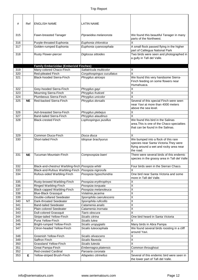| #   | Ref       | <b>ENGLISH NAME</b>                               | <b>LATIN NAME</b>         |                                                                                                                                       |
|-----|-----------|---------------------------------------------------|---------------------------|---------------------------------------------------------------------------------------------------------------------------------------|
| 315 |           | Fawn-breasted Tanager                             | Pipraeidea melanonota     | We found this beautiful Tanager in many<br>parts of the Northwest.                                                                    |
| 316 |           | Purple-throated Euphonia                          | Euphonia chlorotica       | X                                                                                                                                     |
| 317 |           | Golden-rumped Euphonia                            | Euphonia cyanocephala     | A small flock passed flying in the higher<br>part of Calilegua National Park                                                          |
| 318 |           | <b>Rusty Flower-piercer</b>                       | Diglossa sittoides        | Two birds were seen and photographed in                                                                                               |
|     |           |                                                   |                           | a gully in Tafi del Valle.                                                                                                            |
|     |           | <b>Family Emberizidae (Emberizid Finches)</b>     |                           |                                                                                                                                       |
| 319 |           | Many-colored Chaco-Finch                          | Saltatricula multicolor   | $\mathsf X$                                                                                                                           |
| 320 |           | Red-pileated Finch                                | Coryphospingus cucullatus | $\overline{\mathsf{x}}$                                                                                                               |
| 321 |           | <b>Black-hooded Sierra-Finch</b>                  | Phrygilus atriceps        | We found this very handsome Sierra-<br>Finch feeding on some flowers near<br>Humahuaca.                                               |
| 322 |           | Grey-hooded Sierra-Finch                          | Phrygilus gayi            | X                                                                                                                                     |
| 323 |           | Mourning Sierra-Finch                             | Phrygilus fruticeti       | X                                                                                                                                     |
| 324 |           | Plumbeous Sierra-Finch                            | Phrygilus unicolor        | X                                                                                                                                     |
| 325 | <b>NE</b> | Red-backed Sierra-Finch                           | Phrygilus dorsalis        | Several of this special Finch were seen<br>near Yavi at more than 4000 meters<br>above the sea level.                                 |
| 326 |           | Ash-breasted Sierra-Finch                         | Phrygilus plebejus        | X                                                                                                                                     |
| 327 |           | <b>Band-tailed Sierra-Finch</b>                   | Phrygilus alaudinus       | X                                                                                                                                     |
| 328 |           | <b>Black-crested Finch</b>                        | Lophospingus pusillus     | We found this bird in the Salinas<br>area. This is one of the Chaco specialties<br>that can be found in the Salinas.                  |
| 329 |           | Common Diuca-Finch                                | Diuca diuca               | X                                                                                                                                     |
| 330 |           | Short-tailed Finch                                | Idiopsar brachyurus       | We bumped into a flock of this rare<br>species near Santa Victoria. They were<br>flying around a wet and rocky area near<br>the road. |
| 331 | <b>NE</b> | <b>Tucuman Mountain-Finch</b>                     | Compsospiza baeri         | There were several birds of this endemic<br>species in the grassy area in Tafi del Valle                                              |
| 332 |           | Black-and-chestnut Warbling-finch Poospiza whitii |                           | Four birds seen in the Sierran Chaco.                                                                                                 |
| 333 |           | Black-and-Rufous Warbling-Finch                   | Poospiza nigrorufa        | Χ                                                                                                                                     |
| 334 |           | Rufous-sided Warbling-Finch                       | Poospiza hypochondria     | One bird near Santa Victoria and some<br>more in Tafi del Valle.                                                                      |
| 335 |           | Rusty-browed Warbling-Finch                       | Poospiza erythrophrys     | Χ                                                                                                                                     |
| 336 |           | Ringed Warbling-Finch                             | Poospiza torquata         | X                                                                                                                                     |
| 337 |           | Black-capped Warbling-Finch                       | Poospiza melanoleuca      | X                                                                                                                                     |
| 338 |           | <b>Blue-Black Grassquit</b>                       | Volatinia jacarina        | X                                                                                                                                     |
| 339 |           | Double-collared Seedeater                         | Sporophila caerulescens   | X                                                                                                                                     |
| 340 | <b>NT</b> | Dark-throated Seedeater                           | Sporophila ruficollis     | X                                                                                                                                     |
| 341 |           | <b>Band-tailed Seedeater</b>                      | Catamenia analis          | $\overline{X}$                                                                                                                        |
| 342 |           | Plain-colored Seedeater                           | Catamenia inornata        | Χ                                                                                                                                     |
| 343 |           | <b>Dull-colored Grassquit</b>                     | Tiaris obscura            | Χ                                                                                                                                     |
| 344 |           | Stripe-tailed Yellow-Finch                        | Sicalis citrina           | One bird heard in Santa Victoria                                                                                                      |
| 345 |           | Puna Yellow-Finch                                 | Sicalis lutea             | Χ                                                                                                                                     |
| 346 |           | Bright-rumped Yellow-Finch                        | Sicalis uropygialis       | Many birds in Abra Pampa                                                                                                              |
| 347 |           | Citron-headed Yellow-Finch                        | Sicalis luteocephala      | We found several birds roosting in a cliff<br>around Yavi.                                                                            |
| 348 |           | Greenish Yellow-Finch                             | Sicalis olivascens        | Χ                                                                                                                                     |
| 349 |           | Saffron Finch                                     | Sicalis flaveola          | $\overline{X}$                                                                                                                        |
| 350 |           | <b>Grassland Yellow-Finch</b>                     | Sicalis luteola           | X                                                                                                                                     |
| 351 |           | Great Pampa-Finch                                 | Embernagra platensis      | Common throughout                                                                                                                     |
| 352 |           | <b>Red-crested Cardinal</b>                       | Paroaria coronata         | Χ                                                                                                                                     |
| 353 | E         | Yellow-striped Brush-Finch                        | Atlapetes citrinellus     | Several of this endemic bird were seen in<br>the lower part of Tafi del Valle.                                                        |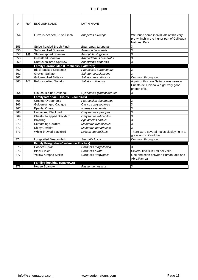| #   | Ref       | <b>ENGLISH NAME</b>                               | <b>LATIN NAME</b>          |                                                                                                                |
|-----|-----------|---------------------------------------------------|----------------------------|----------------------------------------------------------------------------------------------------------------|
|     |           |                                                   |                            |                                                                                                                |
| 354 |           | Fulvous-headed Brush-Finch                        | Atlapetes fulviceps        | We found some individuals of this very<br>pretty finch in the higher part of Calilegua<br><b>National Park</b> |
| 355 |           | Stripe-headed Brush-Finch                         | <b>Buarremon torquatus</b> | $\overline{\mathsf{x}}$                                                                                        |
| 356 |           | Saffron-billed Sparrow                            | Arremon flavirostris       | $\overline{\mathsf{x}}$                                                                                        |
| 357 | <b>NE</b> | <b>Stripe-capped Sparrow</b>                      | Aimophila strigiceps       | X                                                                                                              |
| 358 |           | <b>Grassland Sparrow</b>                          | Ammodramus humeralis       | X                                                                                                              |
| 359 |           | <b>Rufous-collared Sparrow</b>                    | Zonotrichia capensis       | $\overline{\mathsf{x}}$                                                                                        |
|     |           | <b>Family Cardinalidae (Grosbeaks, Saltators)</b> |                            |                                                                                                                |
| 360 |           | <b>Black-backed Grosbeak</b>                      | Pheucticus aureoventris    | X                                                                                                              |
| 361 |           | <b>Greyish Saltator</b>                           | Saltator coerulescens      | $\overline{\mathsf{x}}$                                                                                        |
| 362 |           | <b>Golden-billed Saltator</b>                     | Saltator aurantiirostris   | Common throughout                                                                                              |
| 363 | <b>NT</b> | <b>Rufous-bellied Saltator</b>                    | Saltator rufiventris       | A pair of this rare Saltator was seen in                                                                       |
|     |           |                                                   |                            | Cuesta del Obispo. We got very good                                                                            |
|     |           |                                                   |                            | photos of it.                                                                                                  |
| 364 |           | Glaucous-blue Grosbeak                            | Cyanoloxia glaucocaerulea  | X                                                                                                              |
|     |           | Family Icteridae (Orioles, Blackbirds)            |                            |                                                                                                                |
| 365 |           | <b>Crested Oropendola</b>                         | Psarocolius decumanus      | X                                                                                                              |
| 366 |           | <b>Golden-winged Cacique</b>                      | Cacicus chrysopterus       | $\overline{\mathsf{x}}$                                                                                        |
| 367 |           | <b>Epaulet Oriole</b>                             | Icterus cayanensis         | $\overline{\mathsf{x}}$                                                                                        |
| 368 |           | <b>Unicolored Blackbird</b>                       | Chrysomus cyanopus         | X                                                                                                              |
| 369 |           | Chestnut-capped Blackbird                         | Chrysomus ruficapillus     | $\overline{\mathsf{x}}$                                                                                        |
| 370 |           | Baywing                                           | Agelaioides badius         | $\overline{\mathsf{x}}$                                                                                        |
| 371 |           | <b>Screaming Cowbird</b>                          | Molothrus rufoaxillaris    | $\overline{\mathsf{x}}$                                                                                        |
| 372 |           | <b>Shiny Cowbird</b>                              | Molothrus bonariensis      | $\overline{\mathsf{x}}$                                                                                        |
| 373 |           | <b>White-browed Blackbird</b>                     | Leistes superciliaris      | There were several males displaying in a<br>grassland in Cordoba.                                              |
| 374 |           | Long-tailed Meadowlark                            | Sturnella loyca            | Common throughout                                                                                              |
|     |           | <b>Family Fringilidae (Cardueline Finches)</b>    |                            |                                                                                                                |
| 375 |           | <b>Hooded Siskin</b>                              | Carduelis magellanica      | X                                                                                                              |
| 376 |           | <b>Black Siskin</b>                               | Carduelis atrata           | Several flocks in Tafi del Valle.                                                                              |
| 377 |           | Yellow-rumped Siskin                              | Carduelis uropygialis      | One bird seen between Humahuaca and<br>Abra Pampa                                                              |
|     |           | <b>Family Ploceidae (Sparrows)</b>                |                            |                                                                                                                |
| 378 |           | <b>House Sparrow</b>                              | Passer domesticus          | Χ                                                                                                              |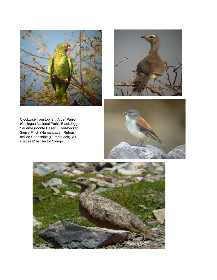



Clockwise from top left: Alder Parrot (Calilegua National Park), Black-legged Seriema (Monte Desert), Red-backed Sierra-Finch (Humahuaca), Rufousbellied Seedsnipe (Humahuaca). All images © by Hector Slongo.